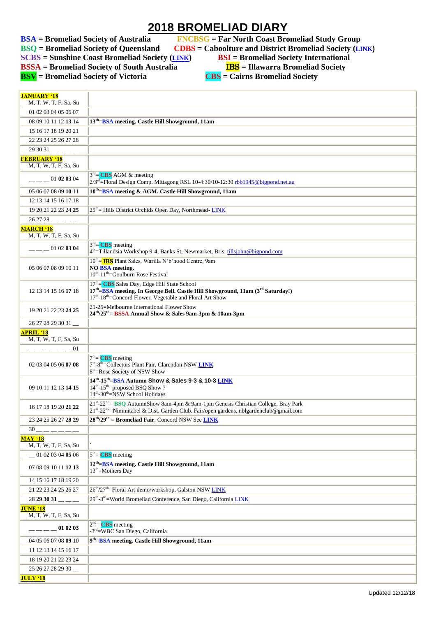## **2018 BROMELIAD DIARY**

**BSA** = Bromeliad Society of Australia FNCBSG = Far North Coast Bromeliad Study Group<br>BSQ = Bromeliad Society of Queensland CDBS = Caboolture and District Bromeliad Society (L)

**BBS** = Caboolture and District Bromeliad Society (*[LINK](http://cabbroms.webs.com/)*)

**SCBS = Sunshine Coast Bromeliad Society ([LINK](http://scbs.org.au/?page_id=34)) BSI = Bromeliad Society International**

**BSSA** = Bromeliad Society of South Australia **IBS** = Illawarra Bromeliad Society

**BSV = Bromeliad Society of Victoria CBS = Cairns Bromeliad Society**

| <b>JANUARY '18</b><br>M. T. W. T. F. Sa. Su  |                                                                                                                                                                                                                       |
|----------------------------------------------|-----------------------------------------------------------------------------------------------------------------------------------------------------------------------------------------------------------------------|
| 01 02 03 04 05 06 07                         |                                                                                                                                                                                                                       |
| 08 09 10 11 12 13 14                         | 13 <sup>th</sup> =BSA meeting. Castle Hill Showground, 11am                                                                                                                                                           |
|                                              |                                                                                                                                                                                                                       |
| 15 16 17 18 19 20 21                         |                                                                                                                                                                                                                       |
| 22 23 24 25 26 27 28                         |                                                                                                                                                                                                                       |
|                                              |                                                                                                                                                                                                                       |
| <b>FEBRUARY '18</b><br>M, T, W, T, F, Sa, Su |                                                                                                                                                                                                                       |
| 01 02 03 04                                  | $3rd$ CBS AGM & meeting<br>2/3rd=Floral Design Comp. Mittagong RSL 10-4:30/10-12:30 rbb1945@bigpond.net.au                                                                                                            |
| 05 06 07 08 09 10 11                         | 10 <sup>th</sup> =BSA meeting & AGM. Castle Hill Showground, 11am                                                                                                                                                     |
| 12 13 14 15 16 17 18                         |                                                                                                                                                                                                                       |
| 19 20 21 22 23 24 25                         | 25 <sup>th</sup> = Hills District Orchids Open Day, Northmead-LINK                                                                                                                                                    |
| $262728$ __ _ _                              |                                                                                                                                                                                                                       |
| <b>MARCH '18</b><br>M, T, W, T, F, Sa, Su    |                                                                                                                                                                                                                       |
| 01 02 03 04                                  | $3rd =$ CBS meeting<br>$4^{\text{th}}$ =Tillandsia Workshop 9-4, Banks St, Newmarket, Bris. tillsjohn@bigpond.com                                                                                                     |
| 05 06 07 08 09 10 11                         | 10 <sup>th</sup> = <b>IBS</b> Plant Sales, Warilla N'b'hood Centre, 9am<br><b>NO BSA</b> meeting.<br>$10^{th}$ -11 <sup>th</sup> =Goulburn Rose Festival                                                              |
| 12 13 14 15 16 17 18                         | $17th = CBS Sales Day, Edge Hill State School$<br>17th-BSA meeting. In George Bell. Castle Hill Showground, 11am (3rd Saturday!)<br>17 <sup>th</sup> -18 <sup>th</sup> =Concord Flower, Vegetable and Floral Art Show |
| 19 20 21 22 23 24 25                         | 21-25=Melbourne International Flower Show<br>$24^{th}/25^{th}$ = BSSA Annual Show & Sales 9am-3pm & 10am-3pm                                                                                                          |
| 26 27 28 29 30 31                            |                                                                                                                                                                                                                       |
| <b>APRIL '18</b><br>M, T, W, T, F, Sa, Su    |                                                                                                                                                                                                                       |
| $------01$                                   |                                                                                                                                                                                                                       |
| 02 03 04 05 06 07 08                         | $7th$ = CBS meeting<br>7 <sup>th</sup> -8 <sup>th</sup> =Collectors Plant Fair, Clarendon NSW LINK<br>8 <sup>th</sup> =Rose Society of NSW Show                                                                       |
| 09 10 11 12 13 14 15                         | 14th-15th=BSA Autumn Show & Sales 9-3 & 10-3 LINK<br>$14^{th}$ -15 <sup>th</sup> =proposed BSQ Show?<br>14 <sup>th</sup> -30 <sup>th</sup> =NSW School Holidays                                                       |
| 16 17 18 19 20 21 22                         | 21st-22 <sup>nd</sup> = BSQ AutumnShow 8am-4pm & 9am-1pm Genesis Christian College, Bray Park<br>21st-22 <sup>nd</sup> =Nimmitabel & Dist. Garden Club. Fair/open gardens. nblgardenclub@gmail.com                    |
| 23 24 25 26 27 28 29                         | $28th/29th$ = Bromeliad Fair, Concord NSW See LINK                                                                                                                                                                    |
| $30$ — — — — — —                             |                                                                                                                                                                                                                       |
| <b>MAY '18</b><br>M, T, W, T, F, Sa, Su      |                                                                                                                                                                                                                       |
| $-01$ 02 03 04 05 06                         | $5th = CBS meeting$                                                                                                                                                                                                   |
| 07 08 09 10 11 12 13                         | 12 <sup>th</sup> =BSA meeting. Castle Hill Showground, 11am<br>$13th$ = Mothers Day                                                                                                                                   |
| 14 15 16 17 18 19 20                         |                                                                                                                                                                                                                       |
| 21 22 23 24 25 26 27                         | 26 <sup>th</sup> /27 <sup>th</sup> =Floral Art demo/workshop, Galston NSW LINK                                                                                                                                        |
| $28293031$ <sub>--</sub>                     | 29 <sup>th</sup> -3 <sup>rd</sup> =World Bromeliad Conference, San Diego, California LINK                                                                                                                             |
| <b>JUNE '18</b>                              |                                                                                                                                                                                                                       |
| M, T, W, T, F, Sa, Su                        | $2nd=$ CBS meeting                                                                                                                                                                                                    |
| 01 02 03                                     | -3 <sup>rd</sup> =WBC San Diego, California                                                                                                                                                                           |
| 04 05 06 07 08 09 10                         | 9 <sup>th</sup> =BSA meeting. Castle Hill Showground, 11am                                                                                                                                                            |
| 11 12 13 14 15 16 17                         |                                                                                                                                                                                                                       |
| 18 19 20 21 22 23 24                         |                                                                                                                                                                                                                       |
| 25 26 27 28 29 30                            |                                                                                                                                                                                                                       |
| <b>JULY '18</b>                              |                                                                                                                                                                                                                       |